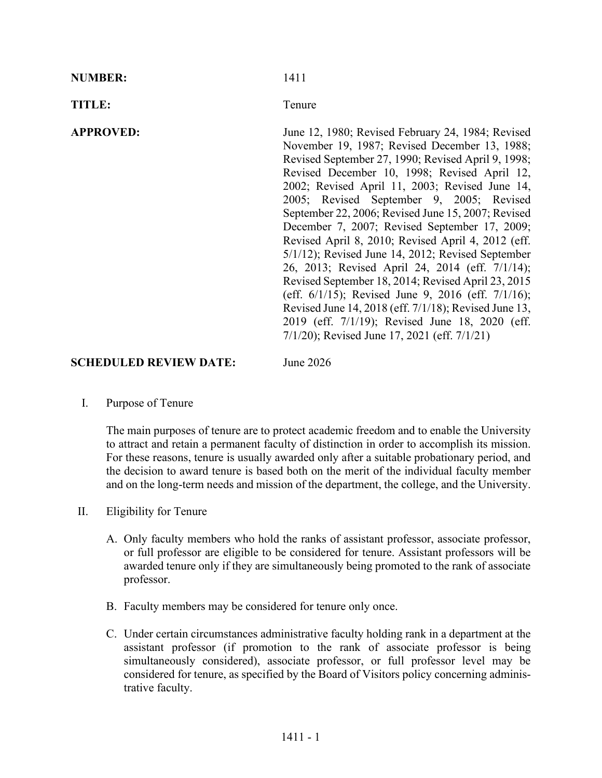| <b>TITLE:</b><br>Tenure |                                                                                                                                                                                                                                                                                                                                                                                                                                                                                                                                                                                                                                                                                                                                                                                                                                                                   |
|-------------------------|-------------------------------------------------------------------------------------------------------------------------------------------------------------------------------------------------------------------------------------------------------------------------------------------------------------------------------------------------------------------------------------------------------------------------------------------------------------------------------------------------------------------------------------------------------------------------------------------------------------------------------------------------------------------------------------------------------------------------------------------------------------------------------------------------------------------------------------------------------------------|
| <b>APPROVED:</b>        | June 12, 1980; Revised February 24, 1984; Revised<br>November 19, 1987; Revised December 13, 1988;<br>Revised September 27, 1990; Revised April 9, 1998;<br>Revised December 10, 1998; Revised April 12,<br>2002; Revised April 11, 2003; Revised June 14,<br>2005; Revised September 9, 2005; Revised<br>September 22, 2006; Revised June 15, 2007; Revised<br>December 7, 2007; Revised September 17, 2009;<br>Revised April 8, 2010; Revised April 4, 2012 (eff.<br>$5/1/12$ ); Revised June 14, 2012; Revised September<br>26, 2013; Revised April 24, 2014 (eff. 7/1/14);<br>Revised September 18, 2014; Revised April 23, 2015<br>(eff. $6/1/15$ ); Revised June 9, 2016 (eff. $7/1/16$ );<br>Revised June 14, 2018 (eff. 7/1/18); Revised June 13,<br>2019 (eff. 7/1/19); Revised June 18, 2020 (eff.<br>$7/1/20$ ; Revised June 17, 2021 (eff. $7/1/21$ ) |

## **SCHEDULED REVIEW DATE:** June 2026

I. Purpose of Tenure

The main purposes of tenure are to protect academic freedom and to enable the University to attract and retain a permanent faculty of distinction in order to accomplish its mission. For these reasons, tenure is usually awarded only after a suitable probationary period, and the decision to award tenure is based both on the merit of the individual faculty member and on the long-term needs and mission of the department, the college, and the University.

- II. Eligibility for Tenure
	- A. Only faculty members who hold the ranks of assistant professor, associate professor, or full professor are eligible to be considered for tenure. Assistant professors will be awarded tenure only if they are simultaneously being promoted to the rank of associate professor.
	- B. Faculty members may be considered for tenure only once.
	- C. Under certain circumstances administrative faculty holding rank in a department at the assistant professor (if promotion to the rank of associate professor is being simultaneously considered), associate professor, or full professor level may be considered for tenure, as specified by the Board of Visitors policy concerning administrative faculty.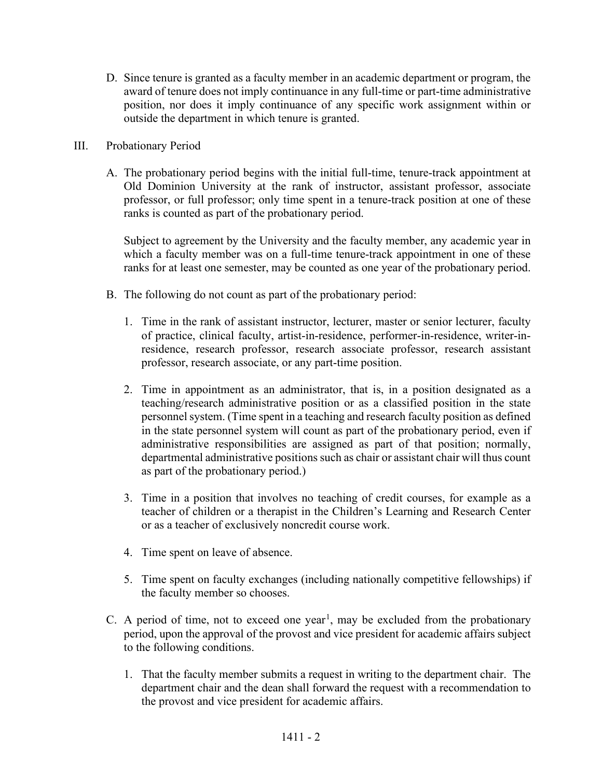D. Since tenure is granted as a faculty member in an academic department or program, the award of tenure does not imply continuance in any full-time or part-time administrative position, nor does it imply continuance of any specific work assignment within or outside the department in which tenure is granted.

## III. Probationary Period

A. The probationary period begins with the initial full-time, tenure-track appointment at Old Dominion University at the rank of instructor, assistant professor, associate professor, or full professor; only time spent in a tenure-track position at one of these ranks is counted as part of the probationary period.

Subject to agreement by the University and the faculty member, any academic year in which a faculty member was on a full-time tenure-track appointment in one of these ranks for at least one semester, may be counted as one year of the probationary period.

- B. The following do not count as part of the probationary period:
	- 1. Time in the rank of assistant instructor, lecturer, master or senior lecturer, faculty of practice, clinical faculty, artist-in-residence, performer-in-residence, writer-inresidence, research professor, research associate professor, research assistant professor, research associate, or any part-time position.
	- 2. Time in appointment as an administrator, that is, in a position designated as a teaching/research administrative position or as a classified position in the state personnel system. (Time spent in a teaching and research faculty position as defined in the state personnel system will count as part of the probationary period, even if administrative responsibilities are assigned as part of that position; normally, departmental administrative positions such as chair or assistant chair will thus count as part of the probationary period.)
	- 3. Time in a position that involves no teaching of credit courses, for example as a teacher of children or a therapist in the Children's Learning and Research Center or as a teacher of exclusively noncredit course work.
	- 4. Time spent on leave of absence.
	- 5. Time spent on faculty exchanges (including nationally competitive fellowships) if the faculty member so chooses.
- C. A period of time, not to exceed one year<sup>[1](#page-12-0)</sup>, may be excluded from the probationary period, upon the approval of the provost and vice president for academic affairs subject to the following conditions.
	- 1. That the faculty member submits a request in writing to the department chair. The department chair and the dean shall forward the request with a recommendation to the provost and vice president for academic affairs.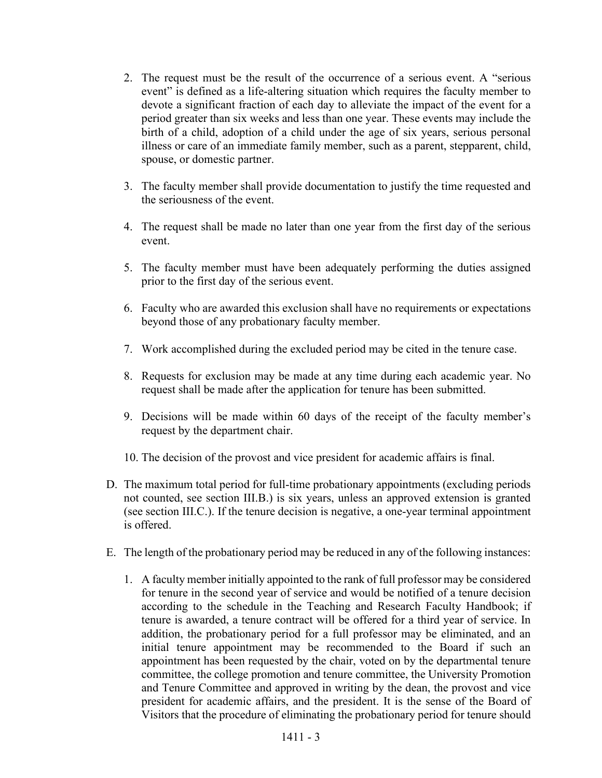- 2. The request must be the result of the occurrence of a serious event. A "serious event" is defined as a life-altering situation which requires the faculty member to devote a significant fraction of each day to alleviate the impact of the event for a period greater than six weeks and less than one year. These events may include the birth of a child, adoption of a child under the age of six years, serious personal illness or care of an immediate family member, such as a parent, stepparent, child, spouse, or domestic partner.
- 3. The faculty member shall provide documentation to justify the time requested and the seriousness of the event.
- 4. The request shall be made no later than one year from the first day of the serious event.
- 5. The faculty member must have been adequately performing the duties assigned prior to the first day of the serious event.
- 6. Faculty who are awarded this exclusion shall have no requirements or expectations beyond those of any probationary faculty member.
- 7. Work accomplished during the excluded period may be cited in the tenure case.
- 8. Requests for exclusion may be made at any time during each academic year. No request shall be made after the application for tenure has been submitted.
- 9. Decisions will be made within 60 days of the receipt of the faculty member's request by the department chair.
- 10. The decision of the provost and vice president for academic affairs is final.
- D. The maximum total period for full-time probationary appointments (excluding periods not counted, see section III.B.) is six years, unless an approved extension is granted (see section III.C.). If the tenure decision is negative, a one-year terminal appointment is offered.
- E. The length of the probationary period may be reduced in any of the following instances:
	- 1. A faculty member initially appointed to the rank of full professor may be considered for tenure in the second year of service and would be notified of a tenure decision according to the schedule in the Teaching and Research Faculty Handbook; if tenure is awarded, a tenure contract will be offered for a third year of service. In addition, the probationary period for a full professor may be eliminated, and an initial tenure appointment may be recommended to the Board if such an appointment has been requested by the chair, voted on by the departmental tenure committee, the college promotion and tenure committee, the University Promotion and Tenure Committee and approved in writing by the dean, the provost and vice president for academic affairs, and the president. It is the sense of the Board of Visitors that the procedure of eliminating the probationary period for tenure should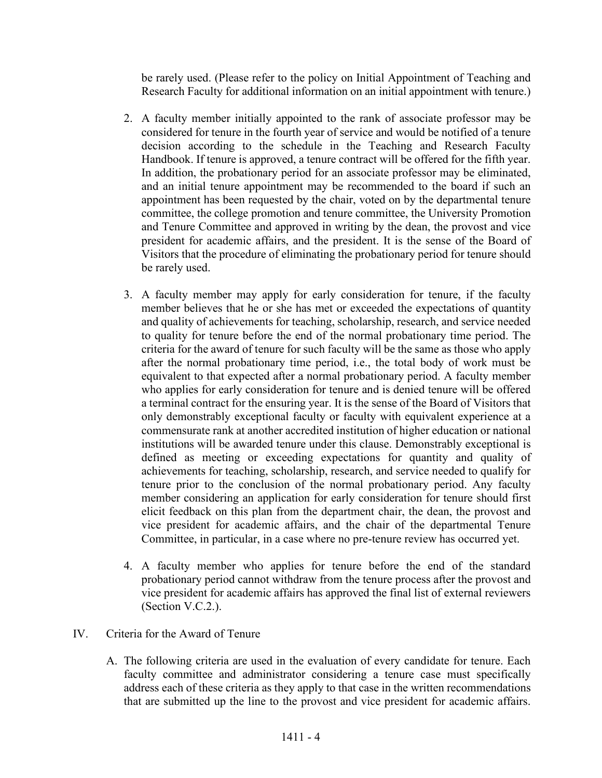be rarely used. (Please refer to the policy on Initial Appointment of Teaching and Research Faculty for additional information on an initial appointment with tenure.)

- 2. A faculty member initially appointed to the rank of associate professor may be considered for tenure in the fourth year of service and would be notified of a tenure decision according to the schedule in the Teaching and Research Faculty Handbook. If tenure is approved, a tenure contract will be offered for the fifth year. In addition, the probationary period for an associate professor may be eliminated, and an initial tenure appointment may be recommended to the board if such an appointment has been requested by the chair, voted on by the departmental tenure committee, the college promotion and tenure committee, the University Promotion and Tenure Committee and approved in writing by the dean, the provost and vice president for academic affairs, and the president. It is the sense of the Board of Visitors that the procedure of eliminating the probationary period for tenure should be rarely used.
- 3. A faculty member may apply for early consideration for tenure, if the faculty member believes that he or she has met or exceeded the expectations of quantity and quality of achievements for teaching, scholarship, research, and service needed to quality for tenure before the end of the normal probationary time period. The criteria for the award of tenure for such faculty will be the same as those who apply after the normal probationary time period, i.e., the total body of work must be equivalent to that expected after a normal probationary period. A faculty member who applies for early consideration for tenure and is denied tenure will be offered a terminal contract for the ensuring year. It is the sense of the Board of Visitors that only demonstrably exceptional faculty or faculty with equivalent experience at a commensurate rank at another accredited institution of higher education or national institutions will be awarded tenure under this clause. Demonstrably exceptional is defined as meeting or exceeding expectations for quantity and quality of achievements for teaching, scholarship, research, and service needed to qualify for tenure prior to the conclusion of the normal probationary period. Any faculty member considering an application for early consideration for tenure should first elicit feedback on this plan from the department chair, the dean, the provost and vice president for academic affairs, and the chair of the departmental Tenure Committee, in particular, in a case where no pre-tenure review has occurred yet.
- 4. A faculty member who applies for tenure before the end of the standard probationary period cannot withdraw from the tenure process after the provost and vice president for academic affairs has approved the final list of external reviewers (Section V.C.2.).
- IV. Criteria for the Award of Tenure
	- A. The following criteria are used in the evaluation of every candidate for tenure. Each faculty committee and administrator considering a tenure case must specifically address each of these criteria as they apply to that case in the written recommendations that are submitted up the line to the provost and vice president for academic affairs.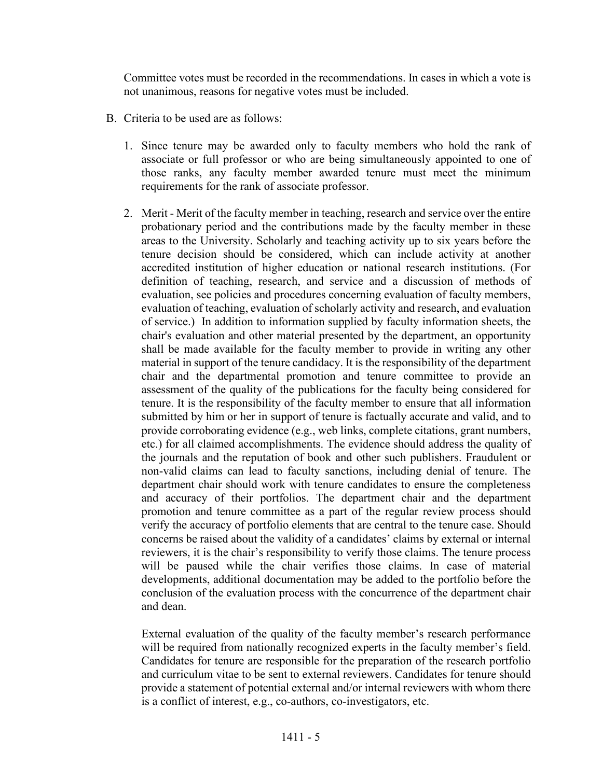Committee votes must be recorded in the recommendations. In cases in which a vote is not unanimous, reasons for negative votes must be included.

- B. Criteria to be used are as follows:
	- 1. Since tenure may be awarded only to faculty members who hold the rank of associate or full professor or who are being simultaneously appointed to one of those ranks, any faculty member awarded tenure must meet the minimum requirements for the rank of associate professor.
	- 2. Merit Merit of the faculty member in teaching, research and service over the entire probationary period and the contributions made by the faculty member in these areas to the University. Scholarly and teaching activity up to six years before the tenure decision should be considered, which can include activity at another accredited institution of higher education or national research institutions. (For definition of teaching, research, and service and a discussion of methods of evaluation, see policies and procedures concerning evaluation of faculty members, evaluation of teaching, evaluation of scholarly activity and research, and evaluation of service.) In addition to information supplied by faculty information sheets, the chair's evaluation and other material presented by the department, an opportunity shall be made available for the faculty member to provide in writing any other material in support of the tenure candidacy. It is the responsibility of the department chair and the departmental promotion and tenure committee to provide an assessment of the quality of the publications for the faculty being considered for tenure. It is the responsibility of the faculty member to ensure that all information submitted by him or her in support of tenure is factually accurate and valid, and to provide corroborating evidence (e.g., web links, complete citations, grant numbers, etc.) for all claimed accomplishments. The evidence should address the quality of the journals and the reputation of book and other such publishers. Fraudulent or non-valid claims can lead to faculty sanctions, including denial of tenure. The department chair should work with tenure candidates to ensure the completeness and accuracy of their portfolios. The department chair and the department promotion and tenure committee as a part of the regular review process should verify the accuracy of portfolio elements that are central to the tenure case. Should concerns be raised about the validity of a candidates' claims by external or internal reviewers, it is the chair's responsibility to verify those claims. The tenure process will be paused while the chair verifies those claims. In case of material developments, additional documentation may be added to the portfolio before the conclusion of the evaluation process with the concurrence of the department chair and dean.

External evaluation of the quality of the faculty member's research performance will be required from nationally recognized experts in the faculty member's field. Candidates for tenure are responsible for the preparation of the research portfolio and curriculum vitae to be sent to external reviewers. Candidates for tenure should provide a statement of potential external and/or internal reviewers with whom there is a conflict of interest, e.g., co-authors, co-investigators, etc.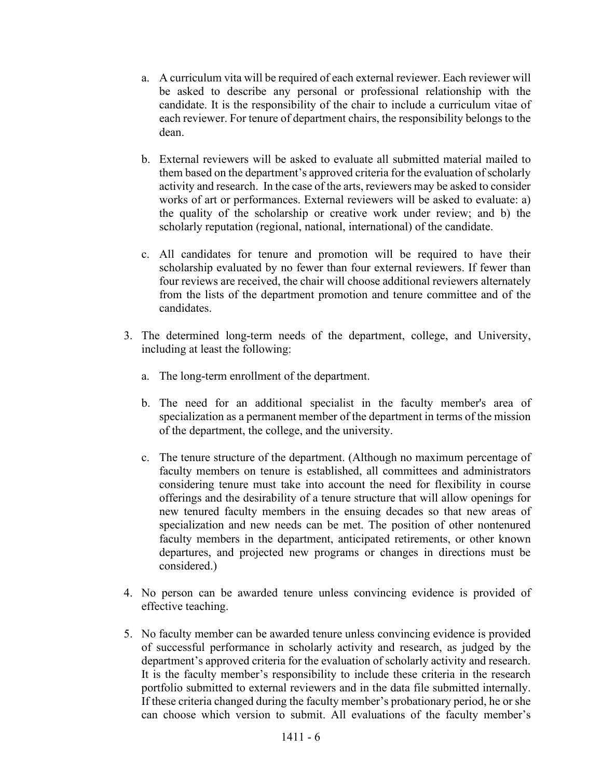- a. A curriculum vita will be required of each external reviewer. Each reviewer will be asked to describe any personal or professional relationship with the candidate. It is the responsibility of the chair to include a curriculum vitae of each reviewer. For tenure of department chairs, the responsibility belongs to the dean.
- b. External reviewers will be asked to evaluate all submitted material mailed to them based on the department's approved criteria for the evaluation of scholarly activity and research. In the case of the arts, reviewers may be asked to consider works of art or performances. External reviewers will be asked to evaluate: a) the quality of the scholarship or creative work under review; and b) the scholarly reputation (regional, national, international) of the candidate.
- c. All candidates for tenure and promotion will be required to have their scholarship evaluated by no fewer than four external reviewers. If fewer than four reviews are received, the chair will choose additional reviewers alternately from the lists of the department promotion and tenure committee and of the candidates.
- 3. The determined long-term needs of the department, college, and University, including at least the following:
	- a. The long-term enrollment of the department.
	- b. The need for an additional specialist in the faculty member's area of specialization as a permanent member of the department in terms of the mission of the department, the college, and the university.
	- c. The tenure structure of the department. (Although no maximum percentage of faculty members on tenure is established, all committees and administrators considering tenure must take into account the need for flexibility in course offerings and the desirability of a tenure structure that will allow openings for new tenured faculty members in the ensuing decades so that new areas of specialization and new needs can be met. The position of other nontenured faculty members in the department, anticipated retirements, or other known departures, and projected new programs or changes in directions must be considered.)
- 4. No person can be awarded tenure unless convincing evidence is provided of effective teaching.
- 5. No faculty member can be awarded tenure unless convincing evidence is provided of successful performance in scholarly activity and research, as judged by the department's approved criteria for the evaluation of scholarly activity and research. It is the faculty member's responsibility to include these criteria in the research portfolio submitted to external reviewers and in the data file submitted internally. If these criteria changed during the faculty member's probationary period, he or she can choose which version to submit. All evaluations of the faculty member's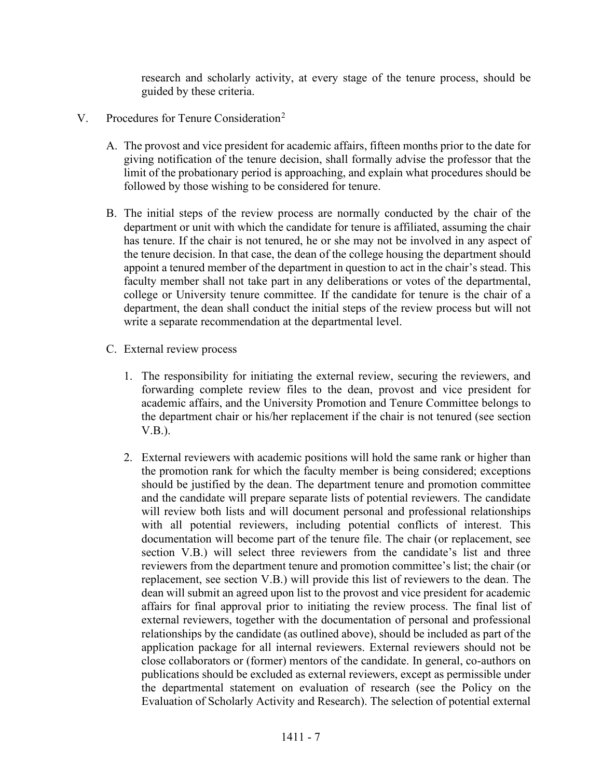research and scholarly activity, at every stage of the tenure process, should be guided by these criteria.

- V. Procedures for Tenure Consideration<sup>[2](#page-12-1)</sup>
	- A. The provost and vice president for academic affairs, fifteen months prior to the date for giving notification of the tenure decision, shall formally advise the professor that the limit of the probationary period is approaching, and explain what procedures should be followed by those wishing to be considered for tenure.
	- B. The initial steps of the review process are normally conducted by the chair of the department or unit with which the candidate for tenure is affiliated, assuming the chair has tenure. If the chair is not tenured, he or she may not be involved in any aspect of the tenure decision. In that case, the dean of the college housing the department should appoint a tenured member of the department in question to act in the chair's stead. This faculty member shall not take part in any deliberations or votes of the departmental, college or University tenure committee. If the candidate for tenure is the chair of a department, the dean shall conduct the initial steps of the review process but will not write a separate recommendation at the departmental level.
	- C. External review process
		- 1. The responsibility for initiating the external review, securing the reviewers, and forwarding complete review files to the dean, provost and vice president for academic affairs, and the University Promotion and Tenure Committee belongs to the department chair or his/her replacement if the chair is not tenured (see section V.B.).
		- 2. External reviewers with academic positions will hold the same rank or higher than the promotion rank for which the faculty member is being considered; exceptions should be justified by the dean. The department tenure and promotion committee and the candidate will prepare separate lists of potential reviewers. The candidate will review both lists and will document personal and professional relationships with all potential reviewers, including potential conflicts of interest. This documentation will become part of the tenure file. The chair (or replacement, see section V.B.) will select three reviewers from the candidate's list and three reviewers from the department tenure and promotion committee's list; the chair (or replacement, see section V.B.) will provide this list of reviewers to the dean. The dean will submit an agreed upon list to the provost and vice president for academic affairs for final approval prior to initiating the review process. The final list of external reviewers, together with the documentation of personal and professional relationships by the candidate (as outlined above), should be included as part of the application package for all internal reviewers. External reviewers should not be close collaborators or (former) mentors of the candidate. In general, co-authors on publications should be excluded as external reviewers, except as permissible under the departmental statement on evaluation of research (see the Policy on the Evaluation of Scholarly Activity and Research). The selection of potential external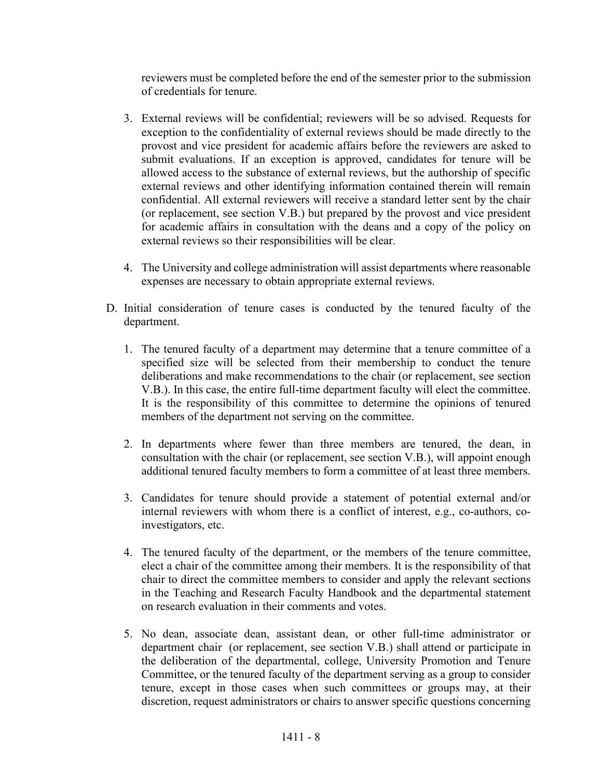reviewers must be completed before the end of the semester prior to the submission of credentials for tenure.

- 3. External reviews will be confidential; reviewers will be so advised. Requests for exception to the confidentiality of external reviews should be made directly to the provost and vice president for academic affairs before the reviewers are asked to submit evaluations. If an exception is approved, candidates for tenure will be allowed access to the substance of external reviews, but the authorship of specific external reviews and other identifying information contained therein will remain confidential. All external reviewers will receive a standard letter sent by the chair (or replacement, see section V.B.) but prepared by the provost and vice president for academic affairs in consultation with the deans and a copy of the policy on external reviews so their responsibilities will be clear.
- 4. The University and college administration will assist departments where reasonable expenses are necessary to obtain appropriate external reviews.
- D. Initial consideration of tenure cases is conducted by the tenured faculty of the department.
	- 1. The tenured faculty of a department may determine that a tenure committee of a specified size will be selected from their membership to conduct the tenure deliberations and make recommendations to the chair (or replacement, see section V.B.). In this case, the entire full-time department faculty will elect the committee. It is the responsibility of this committee to determine the opinions of tenured members of the department not serving on the committee.
	- 2. In departments where fewer than three members are tenured, the dean, in consultation with the chair (or replacement, see section V.B.), will appoint enough additional tenured faculty members to form a committee of at least three members.
	- 3. Candidates for tenure should provide a statement of potential external and/or internal reviewers with whom there is a conflict of interest, e.g., co-authors, coinvestigators, etc.
	- 4. The tenured faculty of the department, or the members of the tenure committee, elect a chair of the committee among their members. It is the responsibility of that chair to direct the committee members to consider and apply the relevant sections in the Teaching and Research Faculty Handbook and the departmental statement on research evaluation in their comments and votes.
	- 5. No dean, associate dean, assistant dean, or other full-time administrator or department chair (or replacement, see section V.B.) shall attend or participate in the deliberation of the departmental, college, University Promotion and Tenure Committee, or the tenured faculty of the department serving as a group to consider tenure, except in those cases when such committees or groups may, at their discretion, request administrators or chairs to answer specific questions concerning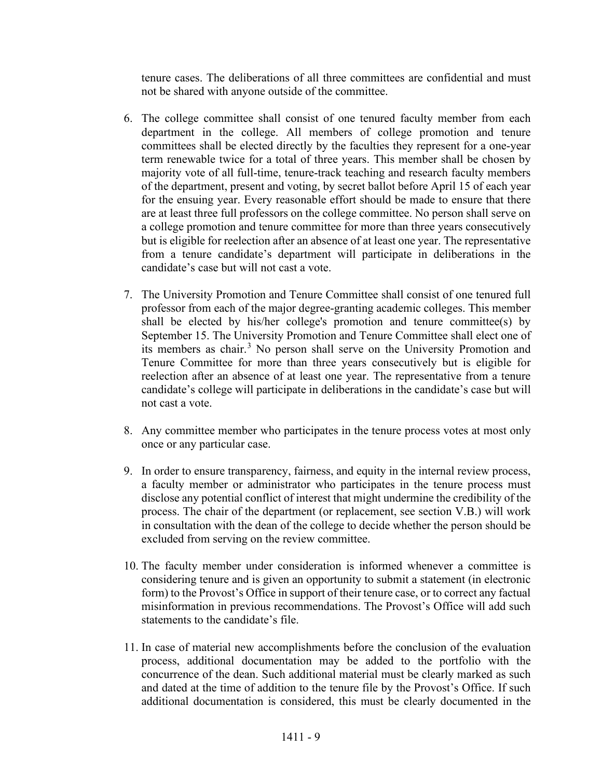tenure cases. The deliberations of all three committees are confidential and must not be shared with anyone outside of the committee.

- 6. The college committee shall consist of one tenured faculty member from each department in the college. All members of college promotion and tenure committees shall be elected directly by the faculties they represent for a one-year term renewable twice for a total of three years. This member shall be chosen by majority vote of all full-time, tenure-track teaching and research faculty members of the department, present and voting, by secret ballot before April 15 of each year for the ensuing year. Every reasonable effort should be made to ensure that there are at least three full professors on the college committee. No person shall serve on a college promotion and tenure committee for more than three years consecutively but is eligible for reelection after an absence of at least one year. The representative from a tenure candidate's department will participate in deliberations in the candidate's case but will not cast a vote.
- 7. The University Promotion and Tenure Committee shall consist of one tenured full professor from each of the major degree-granting academic colleges. This member shall be elected by his/her college's promotion and tenure committee(s) by September 15. The University Promotion and Tenure Committee shall elect one of its members as chair.<sup>[3](#page-12-2)</sup> No person shall serve on the University Promotion and Tenure Committee for more than three years consecutively but is eligible for reelection after an absence of at least one year. The representative from a tenure candidate's college will participate in deliberations in the candidate's case but will not cast a vote.
- 8. Any committee member who participates in the tenure process votes at most only once or any particular case.
- 9. In order to ensure transparency, fairness, and equity in the internal review process, a faculty member or administrator who participates in the tenure process must disclose any potential conflict of interest that might undermine the credibility of the process. The chair of the department (or replacement, see section V.B.) will work in consultation with the dean of the college to decide whether the person should be excluded from serving on the review committee.
- 10. The faculty member under consideration is informed whenever a committee is considering tenure and is given an opportunity to submit a statement (in electronic form) to the Provost's Office in support of their tenure case, or to correct any factual misinformation in previous recommendations. The Provost's Office will add such statements to the candidate's file.
- 11. In case of material new accomplishments before the conclusion of the evaluation process, additional documentation may be added to the portfolio with the concurrence of the dean. Such additional material must be clearly marked as such and dated at the time of addition to the tenure file by the Provost's Office. If such additional documentation is considered, this must be clearly documented in the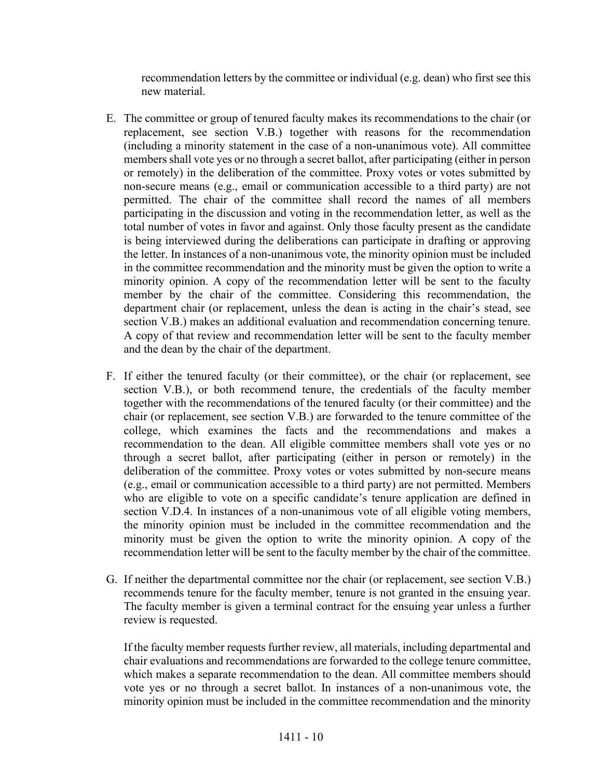recommendation letters by the committee or individual (e.g. dean) who first see this new material.

- E. The committee or group of tenured faculty makes its recommendations to the chair (or replacement, see section V.B.) together with reasons for the recommendation (including a minority statement in the case of a non-unanimous vote). All committee members shall vote yes or no through a secret ballot, after participating (either in person or remotely) in the deliberation of the committee. Proxy votes or votes submitted by non-secure means (e.g., email or communication accessible to a third party) are not permitted. The chair of the committee shall record the names of all members participating in the discussion and voting in the recommendation letter, as well as the total number of votes in favor and against. Only those faculty present as the candidate is being interviewed during the deliberations can participate in drafting or approving the letter. In instances of a non-unanimous vote, the minority opinion must be included in the committee recommendation and the minority must be given the option to write a minority opinion. A copy of the recommendation letter will be sent to the faculty member by the chair of the committee. Considering this recommendation, the department chair (or replacement, unless the dean is acting in the chair's stead, see section V.B.) makes an additional evaluation and recommendation concerning tenure. A copy of that review and recommendation letter will be sent to the faculty member and the dean by the chair of the department.
- F. If either the tenured faculty (or their committee), or the chair (or replacement, see section V.B.), or both recommend tenure, the credentials of the faculty member together with the recommendations of the tenured faculty (or their committee) and the chair (or replacement, see section V.B.) are forwarded to the tenure committee of the college, which examines the facts and the recommendations and makes a recommendation to the dean. All eligible committee members shall vote yes or no through a secret ballot, after participating (either in person or remotely) in the deliberation of the committee. Proxy votes or votes submitted by non-secure means (e.g., email or communication accessible to a third party) are not permitted. Members who are eligible to vote on a specific candidate's tenure application are defined in section V.D.4. In instances of a non-unanimous vote of all eligible voting members, the minority opinion must be included in the committee recommendation and the minority must be given the option to write the minority opinion. A copy of the recommendation letter will be sent to the faculty member by the chair of the committee.
- G. If neither the departmental committee nor the chair (or replacement, see section V.B.) recommends tenure for the faculty member, tenure is not granted in the ensuing year. The faculty member is given a terminal contract for the ensuing year unless a further review is requested.

If the faculty member requests further review, all materials, including departmental and chair evaluations and recommendations are forwarded to the college tenure committee, which makes a separate recommendation to the dean. All committee members should vote yes or no through a secret ballot. In instances of a non-unanimous vote, the minority opinion must be included in the committee recommendation and the minority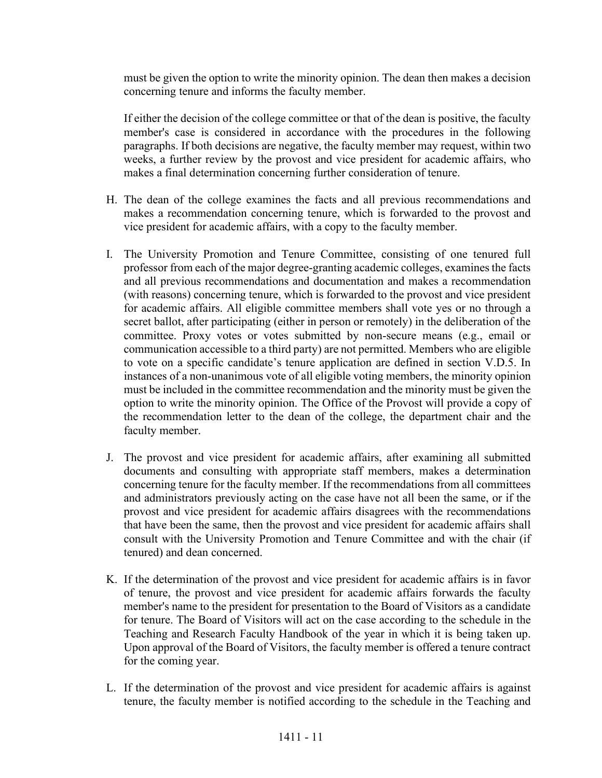must be given the option to write the minority opinion. The dean then makes a decision concerning tenure and informs the faculty member.

If either the decision of the college committee or that of the dean is positive, the faculty member's case is considered in accordance with the procedures in the following paragraphs. If both decisions are negative, the faculty member may request, within two weeks, a further review by the provost and vice president for academic affairs, who makes a final determination concerning further consideration of tenure.

- H. The dean of the college examines the facts and all previous recommendations and makes a recommendation concerning tenure, which is forwarded to the provost and vice president for academic affairs, with a copy to the faculty member.
- I. The University Promotion and Tenure Committee, consisting of one tenured full professor from each of the major degree-granting academic colleges, examines the facts and all previous recommendations and documentation and makes a recommendation (with reasons) concerning tenure, which is forwarded to the provost and vice president for academic affairs. All eligible committee members shall vote yes or no through a secret ballot, after participating (either in person or remotely) in the deliberation of the committee. Proxy votes or votes submitted by non-secure means (e.g., email or communication accessible to a third party) are not permitted. Members who are eligible to vote on a specific candidate's tenure application are defined in section V.D.5. In instances of a non-unanimous vote of all eligible voting members, the minority opinion must be included in the committee recommendation and the minority must be given the option to write the minority opinion. The Office of the Provost will provide a copy of the recommendation letter to the dean of the college, the department chair and the faculty member.
- J. The provost and vice president for academic affairs, after examining all submitted documents and consulting with appropriate staff members, makes a determination concerning tenure for the faculty member. If the recommendations from all committees and administrators previously acting on the case have not all been the same, or if the provost and vice president for academic affairs disagrees with the recommendations that have been the same, then the provost and vice president for academic affairs shall consult with the University Promotion and Tenure Committee and with the chair (if tenured) and dean concerned.
- K. If the determination of the provost and vice president for academic affairs is in favor of tenure, the provost and vice president for academic affairs forwards the faculty member's name to the president for presentation to the Board of Visitors as a candidate for tenure. The Board of Visitors will act on the case according to the schedule in the Teaching and Research Faculty Handbook of the year in which it is being taken up. Upon approval of the Board of Visitors, the faculty member is offered a tenure contract for the coming year.
- L. If the determination of the provost and vice president for academic affairs is against tenure, the faculty member is notified according to the schedule in the Teaching and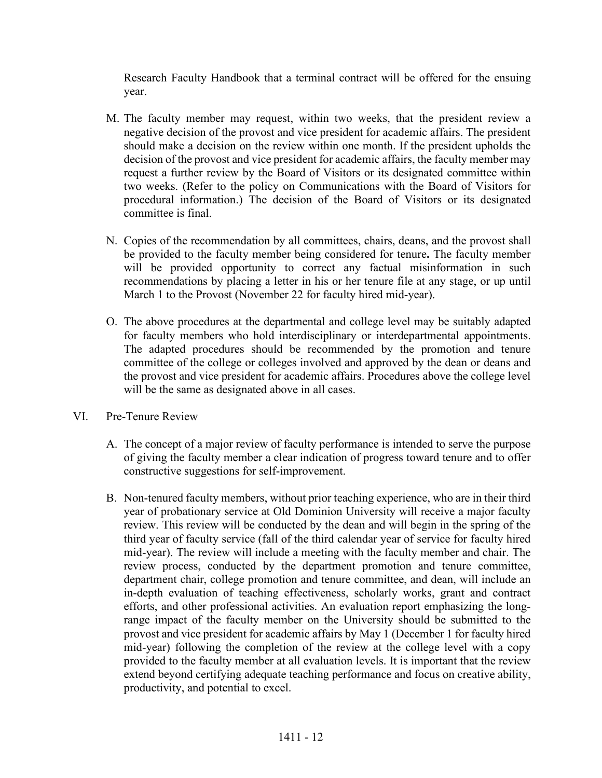Research Faculty Handbook that a terminal contract will be offered for the ensuing year.

- M. The faculty member may request, within two weeks, that the president review a negative decision of the provost and vice president for academic affairs. The president should make a decision on the review within one month. If the president upholds the decision of the provost and vice president for academic affairs, the faculty member may request a further review by the Board of Visitors or its designated committee within two weeks. (Refer to the policy on Communications with the Board of Visitors for procedural information.) The decision of the Board of Visitors or its designated committee is final.
- N. Copies of the recommendation by all committees, chairs, deans, and the provost shall be provided to the faculty member being considered for tenure**.** The faculty member will be provided opportunity to correct any factual misinformation in such recommendations by placing a letter in his or her tenure file at any stage, or up until March 1 to the Provost (November 22 for faculty hired mid-year).
- O. The above procedures at the departmental and college level may be suitably adapted for faculty members who hold interdisciplinary or interdepartmental appointments. The adapted procedures should be recommended by the promotion and tenure committee of the college or colleges involved and approved by the dean or deans and the provost and vice president for academic affairs. Procedures above the college level will be the same as designated above in all cases.
- VI. Pre-Tenure Review
	- A. The concept of a major review of faculty performance is intended to serve the purpose of giving the faculty member a clear indication of progress toward tenure and to offer constructive suggestions for self-improvement.
	- B. Non-tenured faculty members, without prior teaching experience, who are in their third year of probationary service at Old Dominion University will receive a major faculty review. This review will be conducted by the dean and will begin in the spring of the third year of faculty service (fall of the third calendar year of service for faculty hired mid-year). The review will include a meeting with the faculty member and chair. The review process, conducted by the department promotion and tenure committee, department chair, college promotion and tenure committee, and dean, will include an in-depth evaluation of teaching effectiveness, scholarly works, grant and contract efforts, and other professional activities. An evaluation report emphasizing the longrange impact of the faculty member on the University should be submitted to the provost and vice president for academic affairs by May 1 (December 1 for faculty hired mid-year) following the completion of the review at the college level with a copy provided to the faculty member at all evaluation levels. It is important that the review extend beyond certifying adequate teaching performance and focus on creative ability, productivity, and potential to excel.